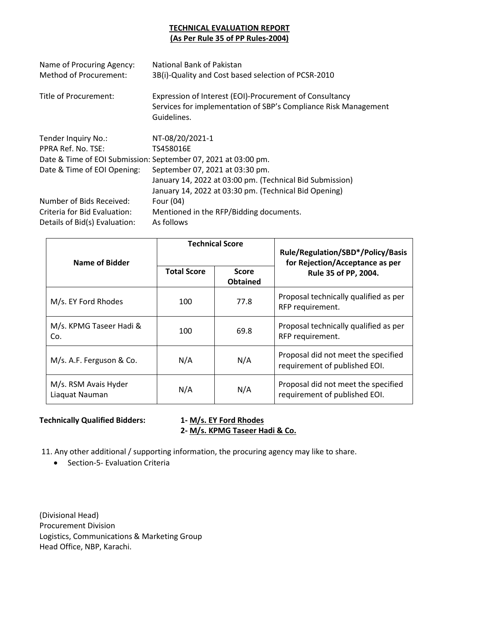#### **TECHNICAL EVALUATION REPORT (As Per Rule 35 of PP Rules-2004)**

| Name of Procuring Agency:<br><b>Method of Procurement:</b> | National Bank of Pakistan<br>3B(i)-Quality and Cost based selection of PCSR-2010                                                          |
|------------------------------------------------------------|-------------------------------------------------------------------------------------------------------------------------------------------|
| Title of Procurement:                                      | Expression of Interest (EOI)-Procurement of Consultancy<br>Services for implementation of SBP's Compliance Risk Management<br>Guidelines. |
| Tender Inquiry No.:                                        | NT-08/20/2021-1                                                                                                                           |
| PPRA Ref. No. TSE:                                         | TS458016E                                                                                                                                 |
|                                                            | Date & Time of EOI Submission: September 07, 2021 at 03:00 pm.                                                                            |
| Date & Time of EOI Opening:                                | September 07, 2021 at 03:30 pm.                                                                                                           |
|                                                            | January 14, 2022 at 03:00 pm. (Technical Bid Submission)                                                                                  |
|                                                            | January 14, 2022 at 03:30 pm. (Technical Bid Opening)                                                                                     |
| Number of Bids Received:                                   | Four (04)                                                                                                                                 |
| Criteria for Bid Evaluation:                               | Mentioned in the RFP/Bidding documents.                                                                                                   |
| Details of Bid(s) Evaluation:                              | As follows                                                                                                                                |

| Name of Bidder                         | <b>Technical Score</b> |                                 | Rule/Regulation/SBD*/Policy/Basis<br>for Rejection/Acceptance as per |  |
|----------------------------------------|------------------------|---------------------------------|----------------------------------------------------------------------|--|
|                                        | <b>Total Score</b>     | <b>Score</b><br><b>Obtained</b> | Rule 35 of PP, 2004.                                                 |  |
| M/s. EY Ford Rhodes                    | 100                    | 77.8                            | Proposal technically qualified as per<br>RFP requirement.            |  |
| M/s. KPMG Taseer Hadi &<br>Co.         | 100                    | 69.8                            | Proposal technically qualified as per<br>RFP requirement.            |  |
| M/s. A.F. Ferguson & Co.               | N/A                    | N/A                             | Proposal did not meet the specified<br>requirement of published EOI. |  |
| M/s. RSM Avais Hyder<br>Liaquat Nauman | N/A                    | N/A                             | Proposal did not meet the specified<br>requirement of published EOI. |  |

#### **Technically Qualified Bidders: 1- M/s. EY Ford Rhodes**

# **2- M/s. KPMG Taseer Hadi & Co.**

11. Any other additional / supporting information, the procuring agency may like to share.

• Section-5- Evaluation Criteria

(Divisional Head) Procurement Division Logistics, Communications & Marketing Group Head Office, NBP, Karachi.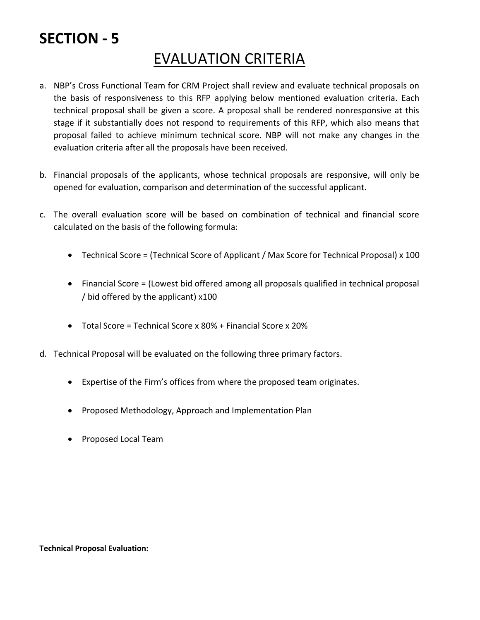#### EVALUATION CRITERIA

- a. NBP's Cross Functional Team for CRM Project shall review and evaluate technical proposals on the basis of responsiveness to this RFP applying below mentioned evaluation criteria. Each technical proposal shall be given a score. A proposal shall be rendered nonresponsive at this stage if it substantially does not respond to requirements of this RFP, which also means that proposal failed to achieve minimum technical score. NBP will not make any changes in the evaluation criteria after all the proposals have been received.
- b. Financial proposals of the applicants, whose technical proposals are responsive, will only be opened for evaluation, comparison and determination of the successful applicant.
- c. The overall evaluation score will be based on combination of technical and financial score calculated on the basis of the following formula:
	- Technical Score = (Technical Score of Applicant / Max Score for Technical Proposal) x 100
	- Financial Score = (Lowest bid offered among all proposals qualified in technical proposal / bid offered by the applicant) x100
	- Total Score = Technical Score x 80% + Financial Score x 20%
- d. Technical Proposal will be evaluated on the following three primary factors.
	- Expertise of the Firm's offices from where the proposed team originates.
	- Proposed Methodology, Approach and Implementation Plan
	- Proposed Local Team

**Technical Proposal Evaluation:**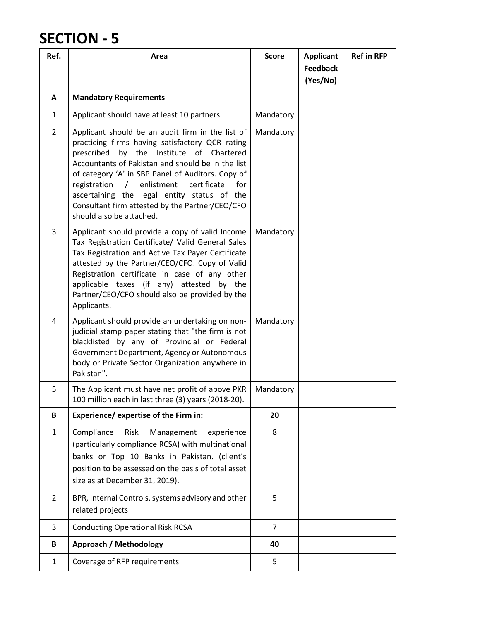| Ref.           | Area                                                                                                                                                                                                                                                                                                                                                                                                                                                      | <b>Score</b>   | <b>Applicant</b><br><b>Feedback</b><br>(Yes/No) | <b>Ref in RFP</b> |
|----------------|-----------------------------------------------------------------------------------------------------------------------------------------------------------------------------------------------------------------------------------------------------------------------------------------------------------------------------------------------------------------------------------------------------------------------------------------------------------|----------------|-------------------------------------------------|-------------------|
| A              | <b>Mandatory Requirements</b>                                                                                                                                                                                                                                                                                                                                                                                                                             |                |                                                 |                   |
| $\mathbf{1}$   | Applicant should have at least 10 partners.                                                                                                                                                                                                                                                                                                                                                                                                               | Mandatory      |                                                 |                   |
| $\overline{2}$ | Applicant should be an audit firm in the list of<br>practicing firms having satisfactory QCR rating<br>prescribed<br>by<br>the<br>Institute<br>of Chartered<br>Accountants of Pakistan and should be in the list<br>of category 'A' in SBP Panel of Auditors. Copy of<br>/ enlistment<br>certificate<br>for<br>registration<br>ascertaining the legal entity status of the<br>Consultant firm attested by the Partner/CEO/CFO<br>should also be attached. | Mandatory      |                                                 |                   |
| $\overline{3}$ | Applicant should provide a copy of valid Income<br>Tax Registration Certificate/ Valid General Sales<br>Tax Registration and Active Tax Payer Certificate<br>attested by the Partner/CEO/CFO. Copy of Valid<br>Registration certificate in case of any other<br>applicable taxes (if any) attested by the<br>Partner/CEO/CFO should also be provided by the<br>Applicants.                                                                                | Mandatory      |                                                 |                   |
| $\overline{4}$ | Applicant should provide an undertaking on non-<br>judicial stamp paper stating that "the firm is not<br>blacklisted by any of Provincial or Federal<br>Government Department, Agency or Autonomous<br>body or Private Sector Organization anywhere in<br>Pakistan".                                                                                                                                                                                      | Mandatory      |                                                 |                   |
| 5              | The Applicant must have net profit of above PKR<br>100 million each in last three (3) years (2018-20).                                                                                                                                                                                                                                                                                                                                                    | Mandatory      |                                                 |                   |
| B              | Experience/ expertise of the Firm in:                                                                                                                                                                                                                                                                                                                                                                                                                     | 20             |                                                 |                   |
| $\mathbf{1}$   | Compliance<br><b>Risk</b><br>Management<br>experience<br>(particularly compliance RCSA) with multinational<br>banks or Top 10 Banks in Pakistan. (client's<br>position to be assessed on the basis of total asset<br>size as at December 31, 2019).                                                                                                                                                                                                       | 8              |                                                 |                   |
| $\overline{2}$ | BPR, Internal Controls, systems advisory and other<br>related projects                                                                                                                                                                                                                                                                                                                                                                                    | 5              |                                                 |                   |
| 3              | <b>Conducting Operational Risk RCSA</b>                                                                                                                                                                                                                                                                                                                                                                                                                   | $\overline{7}$ |                                                 |                   |
| B              | <b>Approach / Methodology</b>                                                                                                                                                                                                                                                                                                                                                                                                                             | 40             |                                                 |                   |
| $\mathbf{1}$   | Coverage of RFP requirements                                                                                                                                                                                                                                                                                                                                                                                                                              | 5              |                                                 |                   |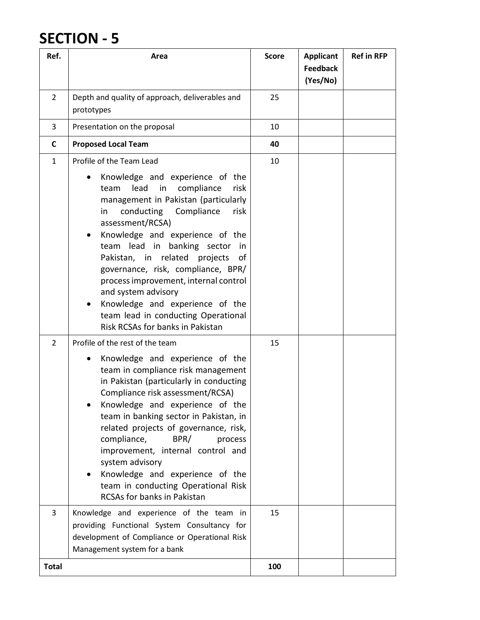| Ref.           | Area                                                                                                                                                                                                                                                                                                                                                                                                                                                                                                                                              | <b>Score</b> | <b>Applicant</b><br><b>Feedback</b><br>(Yes/No) | <b>Ref in RFP</b> |
|----------------|---------------------------------------------------------------------------------------------------------------------------------------------------------------------------------------------------------------------------------------------------------------------------------------------------------------------------------------------------------------------------------------------------------------------------------------------------------------------------------------------------------------------------------------------------|--------------|-------------------------------------------------|-------------------|
| $\overline{2}$ | Depth and quality of approach, deliverables and<br>prototypes                                                                                                                                                                                                                                                                                                                                                                                                                                                                                     | 25           |                                                 |                   |
| 3              | Presentation on the proposal                                                                                                                                                                                                                                                                                                                                                                                                                                                                                                                      | 10           |                                                 |                   |
| C              | <b>Proposed Local Team</b>                                                                                                                                                                                                                                                                                                                                                                                                                                                                                                                        | 40           |                                                 |                   |
| $\mathbf{1}$   | Profile of the Team Lead                                                                                                                                                                                                                                                                                                                                                                                                                                                                                                                          | 10           |                                                 |                   |
|                | Knowledge and experience of the<br>$\bullet$<br>lead<br>in<br>compliance<br>risk<br>team<br>management in Pakistan (particularly<br>conducting<br>Compliance<br>risk<br>in<br>assessment/RCSA)<br>Knowledge and experience of the<br>٠<br>lead in banking sector<br>team<br>in<br>Pakistan, in related<br>projects<br>of<br>governance, risk, compliance, BPR/<br>process improvement, internal control<br>and system advisory<br>Knowledge and experience of the<br>٠<br>team lead in conducting Operational<br>Risk RCSAs for banks in Pakistan |              |                                                 |                   |
| $\overline{2}$ | Profile of the rest of the team                                                                                                                                                                                                                                                                                                                                                                                                                                                                                                                   | 15           |                                                 |                   |
| 3              | Knowledge and experience of the<br>team in compliance risk management<br>in Pakistan (particularly in conducting<br>Compliance risk assessment/RCSA)<br>Knowledge and experience of the<br>team in banking sector in Pakistan, in<br>related projects of governance, risk,<br>compliance,<br>BPR/<br>process<br>improvement, internal control and<br>system advisory<br>Knowledge and experience of the<br>team in conducting Operational Risk<br><b>RCSAs for banks in Pakistan</b><br>Knowledge and experience of the team in                   | 15           |                                                 |                   |
|                | providing Functional System Consultancy for<br>development of Compliance or Operational Risk<br>Management system for a bank                                                                                                                                                                                                                                                                                                                                                                                                                      |              |                                                 |                   |
| <b>Total</b>   |                                                                                                                                                                                                                                                                                                                                                                                                                                                                                                                                                   | 100          |                                                 |                   |